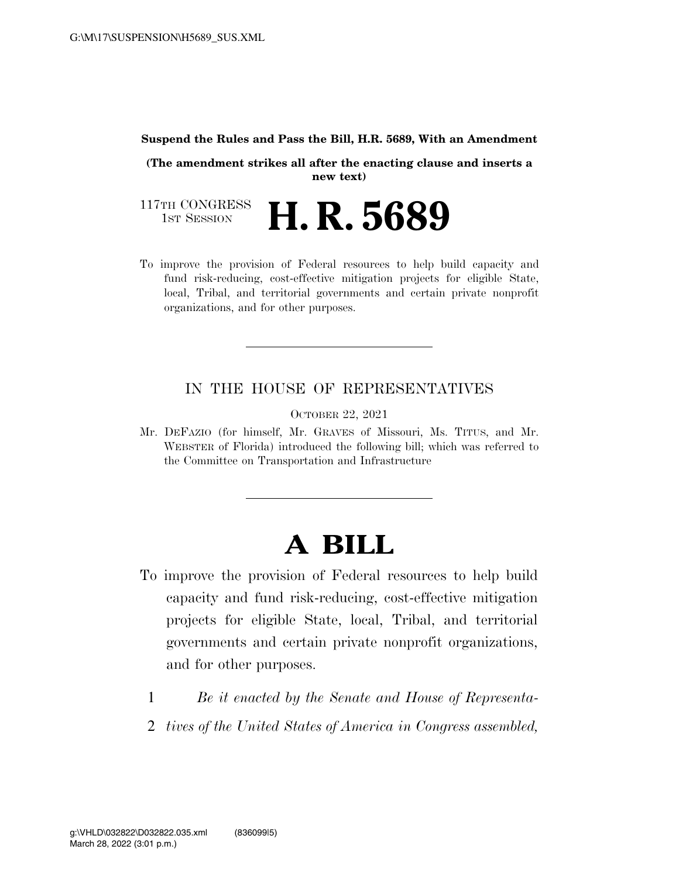#### **Suspend the Rules and Pass the Bill, H.R. 5689, With an Amendment**

**(The amendment strikes all after the enacting clause and inserts a new text)** 

117TH CONGRESS<br>1st Session 1ST SESSION **H. R. 5689** 

To improve the provision of Federal resources to help build capacity and fund risk-reducing, cost-effective mitigation projects for eligible State, local, Tribal, and territorial governments and certain private nonprofit organizations, and for other purposes.

#### IN THE HOUSE OF REPRESENTATIVES

OCTOBER 22, 2021

Mr. DEFAZIO (for himself, Mr. GRAVES of Missouri, Ms. TITUS, and Mr. WEBSTER of Florida) introduced the following bill; which was referred to the Committee on Transportation and Infrastructure

## **A BILL**

- To improve the provision of Federal resources to help build capacity and fund risk-reducing, cost-effective mitigation projects for eligible State, local, Tribal, and territorial governments and certain private nonprofit organizations, and for other purposes.
	- 1 *Be it enacted by the Senate and House of Representa-*
	- 2 *tives of the United States of America in Congress assembled,*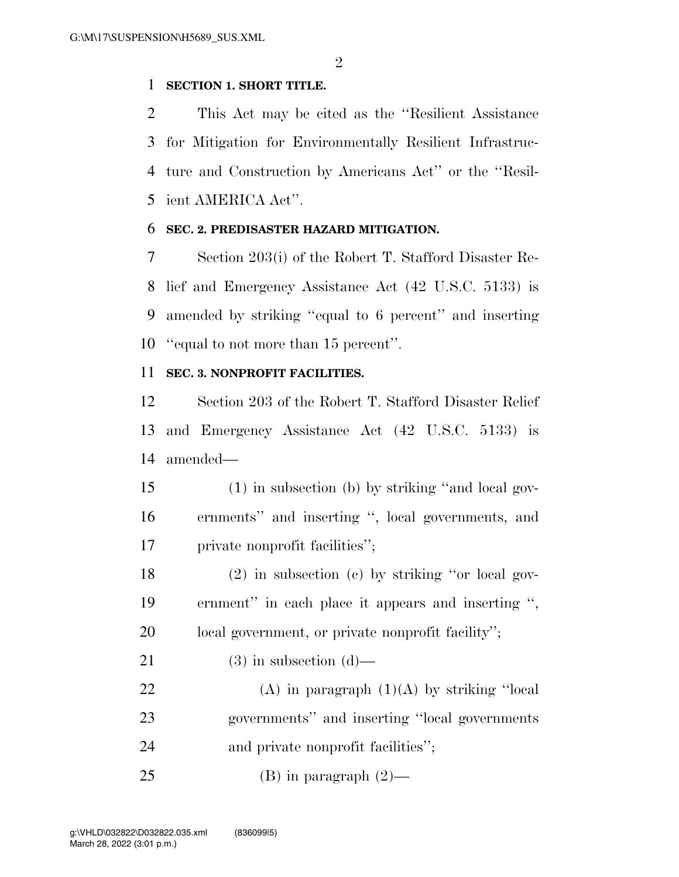#### **SECTION 1. SHORT TITLE.**

 This Act may be cited as the ''Resilient Assistance for Mitigation for Environmentally Resilient Infrastruc- ture and Construction by Americans Act'' or the ''Resil-ient AMERICA Act''.

#### **SEC. 2. PREDISASTER HAZARD MITIGATION.**

 Section 203(i) of the Robert T. Stafford Disaster Re- lief and Emergency Assistance Act (42 U.S.C. 5133) is amended by striking ''equal to 6 percent'' and inserting ''equal to not more than 15 percent''.

#### **SEC. 3. NONPROFIT FACILITIES.**

 Section 203 of the Robert T. Stafford Disaster Relief and Emergency Assistance Act (42 U.S.C. 5133) is amended—

 (1) in subsection (b) by striking ''and local gov- ernments'' and inserting '', local governments, and private nonprofit facilities'';

 (2) in subsection (c) by striking ''or local gov- ernment'' in each place it appears and inserting '', local government, or private nonprofit facility'';

21 (3) in subsection  $(d)$ —

22 (A) in paragraph  $(1)(A)$  by striking "local governments'' and inserting ''local governments 24 and private nonprofit facilities';

25 (B) in paragraph  $(2)$ —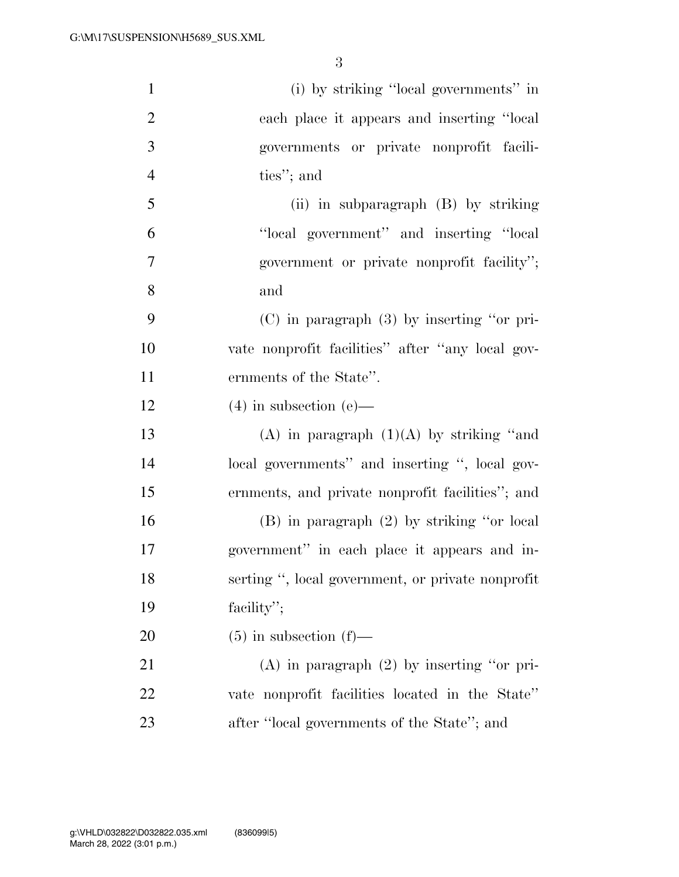| $\mathbf{1}$   | (i) by striking "local governments" in            |
|----------------|---------------------------------------------------|
| $\overline{2}$ | each place it appears and inserting "local        |
| 3              | governments or private nonprofit facili-          |
| $\overline{4}$ | ties"; and                                        |
| 5              | (ii) in subparagraph (B) by striking              |
| 6              | "local government" and inserting "local"          |
| 7              | government or private nonprofit facility";        |
| 8              | and                                               |
| 9              | $(C)$ in paragraph $(3)$ by inserting "or pri-    |
| 10             | vate nonprofit facilities" after "any local gov-  |
| 11             | ernments of the State".                           |
| 12             | $(4)$ in subsection $(e)$ —                       |
| 13             | (A) in paragraph $(1)(A)$ by striking "and        |
| 14             | local governments" and inserting ", local gov-    |
| 15             | ernments, and private nonprofit facilities"; and  |
| 16             | $(B)$ in paragraph $(2)$ by striking "or local    |
| 17             | government" in each place it appears and in-      |
| 18             | serting ", local government, or private nonprofit |
| 19             | facility";                                        |
| 20             | $(5)$ in subsection $(f)$ —                       |
| 21             | $(A)$ in paragraph $(2)$ by inserting "or pri-    |
| 22             | vate nonprofit facilities located in the State"   |
| 23             | after "local governments of the State"; and       |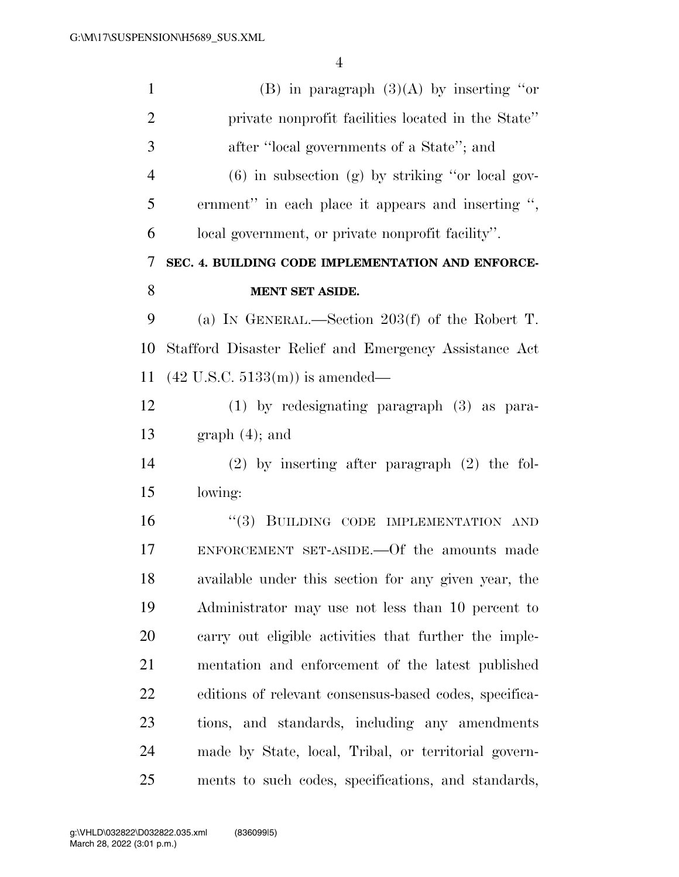| $\mathbf{1}$   | (B) in paragraph $(3)(A)$ by inserting "or             |
|----------------|--------------------------------------------------------|
| $\overline{2}$ | private nonprofit facilities located in the State"     |
| 3              | after "local governments of a State"; and              |
| $\overline{4}$ | $(6)$ in subsection $(g)$ by striking "or local gov-   |
| 5              | ernment" in each place it appears and inserting ",     |
| 6              | local government, or private nonprofit facility".      |
| 7              | SEC. 4. BUILDING CODE IMPLEMENTATION AND ENFORCE-      |
| 8              | <b>MENT SET ASIDE.</b>                                 |
| 9              | (a) IN GENERAL.—Section $203(f)$ of the Robert T.      |
| 10             | Stafford Disaster Relief and Emergency Assistance Act  |
| 11             | $(42$ U.S.C. $5133(m)$ ) is amended—                   |
| 12             | $(1)$ by redesignating paragraph $(3)$ as para-        |
| 13             | $graph(4)$ ; and                                       |
| 14             | $(2)$ by inserting after paragraph $(2)$ the fol-      |
| 15             | lowing:                                                |
| 16             | "(3) BUILDING CODE IMPLEMENTATION AND                  |
| 17             | ENFORCEMENT SET-ASIDE. Of the amounts made             |
| 18             | available under this section for any given year, the   |
| 19             | Administrator may use not less than 10 percent to      |
| 20             | carry out eligible activities that further the imple-  |
| 21             | mentation and enforcement of the latest published      |
| 22             | editions of relevant consensus-based codes, specifica- |
| 23             | tions, and standards, including any amendments         |
| 24             | made by State, local, Tribal, or territorial govern-   |
| 25             | ments to such codes, specifications, and standards,    |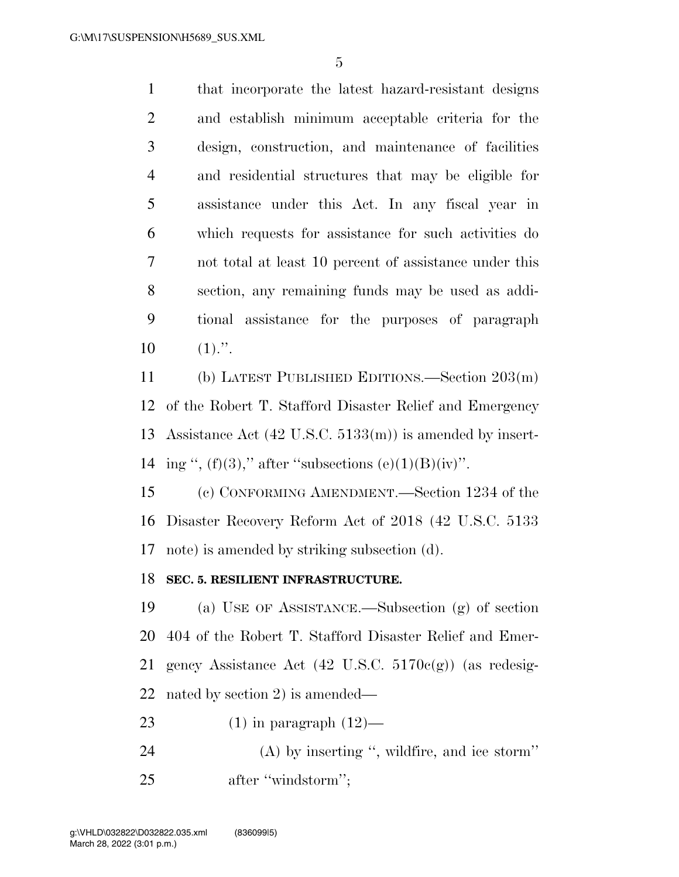| $\mathbf{1}$   | that incorporate the latest hazard-resistant designs   |
|----------------|--------------------------------------------------------|
| 2              | and establish minimum acceptable criteria for the      |
| 3              | design, construction, and maintenance of facilities    |
| $\overline{4}$ | and residential structures that may be eligible for    |
| 5              | assistance under this Act. In any fiscal year in       |
| 6              | which requests for assistance for such activities do   |
| 7              | not total at least 10 percent of assistance under this |
| 8              | section, any remaining funds may be used as addi-      |
| 9              | tional assistance for the purposes of paragraph        |
| 10             | $(1)$ .".                                              |

 (b) LATEST PUBLISHED EDITIONS.—Section 203(m) of the Robert T. Stafford Disaster Relief and Emergency Assistance Act (42 U.S.C. 5133(m)) is amended by insert-14 ing ",  $(f)(3)$ ," after "subsections  $(e)(1)(B)(iv)$ ".

 (c) CONFORMING AMENDMENT.—Section 1234 of the Disaster Recovery Reform Act of 2018 (42 U.S.C. 5133 note) is amended by striking subsection (d).

#### **SEC. 5. RESILIENT INFRASTRUCTURE.**

 (a) USE OF ASSISTANCE.—Subsection (g) of section 404 of the Robert T. Stafford Disaster Relief and Emer- gency Assistance Act (42 U.S.C. 5170c(g)) (as redesig-nated by section 2) is amended—

- 23  $(1)$  in paragraph  $(12)$ —
- (A) by inserting '', wildfire, and ice storm'' 25 after "windstorm";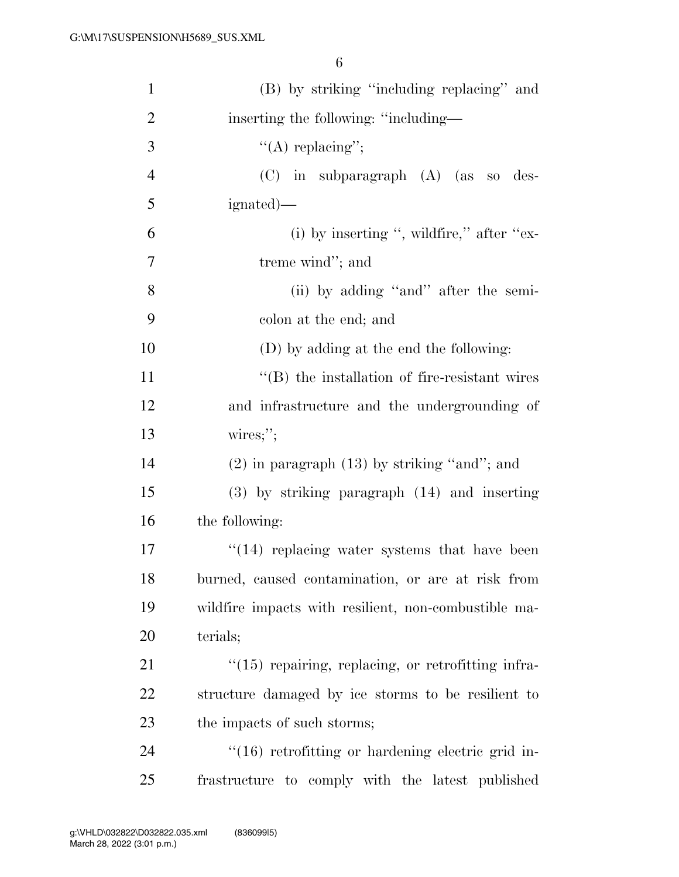| $\mathbf{1}$   | (B) by striking "including replacing" and                |
|----------------|----------------------------------------------------------|
| $\overline{2}$ | inserting the following: "including—                     |
| 3              | "(A) replacing";                                         |
| $\overline{4}$ | $(C)$ in subparagraph $(A)$ (as so des-                  |
| 5              | ignated)—                                                |
| 6              | (i) by inserting ", wildfire," after " $ex$ -            |
| 7              | treme wind"; and                                         |
| $8\,$          | (ii) by adding "and" after the semi-                     |
| 9              | colon at the end; and                                    |
| 10             | (D) by adding at the end the following:                  |
| 11             | $\lq\lq$ (B) the installation of fire-resistant wires    |
| 12             | and infrastructure and the undergrounding of             |
| 13             | $wires$ ;";                                              |
| 14             | $(2)$ in paragraph $(13)$ by striking "and"; and         |
| 15             | $(3)$ by striking paragraph $(14)$ and inserting         |
| 16             | the following:                                           |
| 17             | $\cdot$ (14) replacing water systems that have been      |
| 18             | burned, caused contamination, or are at risk from        |
| 19             | wildfire impacts with resilient, non-combustible ma-     |
| 20             | terials;                                                 |
| 21             | "(15) repairing, replacing, or retrofitting infra-       |
| 22             | structure damaged by ice storms to be resilient to       |
| 23             | the impacts of such storms;                              |
| 24             | $\cdot$ (16) retrofitting or hardening electric grid in- |
| 25             | frastructure to comply with the latest published         |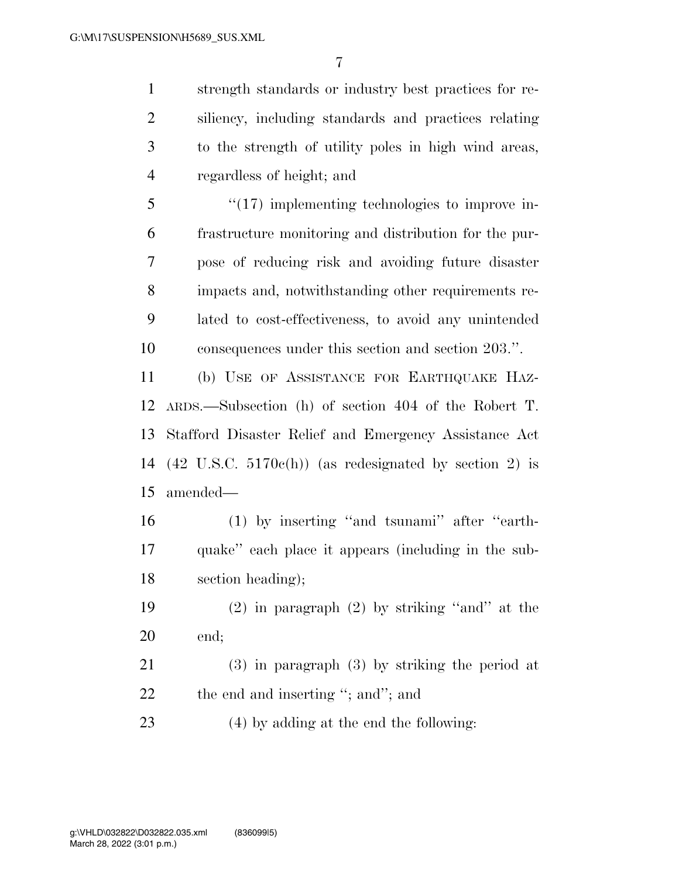strength standards or industry best practices for re- siliency, including standards and practices relating to the strength of utility poles in high wind areas, regardless of height; and

 ''(17) implementing technologies to improve in- frastructure monitoring and distribution for the pur- pose of reducing risk and avoiding future disaster impacts and, notwithstanding other requirements re- lated to cost-effectiveness, to avoid any unintended consequences under this section and section 203.''.

 (b) USE OF ASSISTANCE FOR EARTHQUAKE HAZ- ARDS.—Subsection (h) of section 404 of the Robert T. Stafford Disaster Relief and Emergency Assistance Act (42 U.S.C. 5170c(h)) (as redesignated by section 2) is amended—

 (1) by inserting ''and tsunami'' after ''earth- quake'' each place it appears (including in the sub-section heading);

 (2) in paragraph (2) by striking ''and'' at the end;

 (3) in paragraph (3) by striking the period at 22 the end and inserting "; and"; and

(4) by adding at the end the following: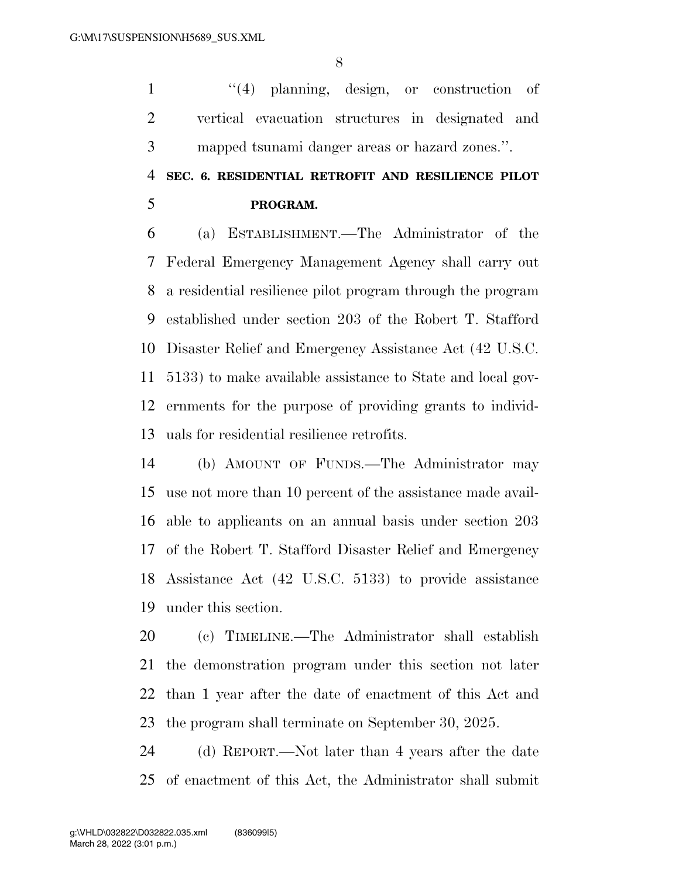1 ''(4) planning, design, or construction of vertical evacuation structures in designated and mapped tsunami danger areas or hazard zones.''.

## **SEC. 6. RESIDENTIAL RETROFIT AND RESILIENCE PILOT PROGRAM.**

 (a) ESTABLISHMENT.—The Administrator of the Federal Emergency Management Agency shall carry out a residential resilience pilot program through the program established under section 203 of the Robert T. Stafford Disaster Relief and Emergency Assistance Act (42 U.S.C. 5133) to make available assistance to State and local gov- ernments for the purpose of providing grants to individ-uals for residential resilience retrofits.

 (b) AMOUNT OF FUNDS.—The Administrator may use not more than 10 percent of the assistance made avail- able to applicants on an annual basis under section 203 of the Robert T. Stafford Disaster Relief and Emergency Assistance Act (42 U.S.C. 5133) to provide assistance under this section.

 (c) TIMELINE.—The Administrator shall establish the demonstration program under this section not later than 1 year after the date of enactment of this Act and the program shall terminate on September 30, 2025.

 (d) REPORT.—Not later than 4 years after the date of enactment of this Act, the Administrator shall submit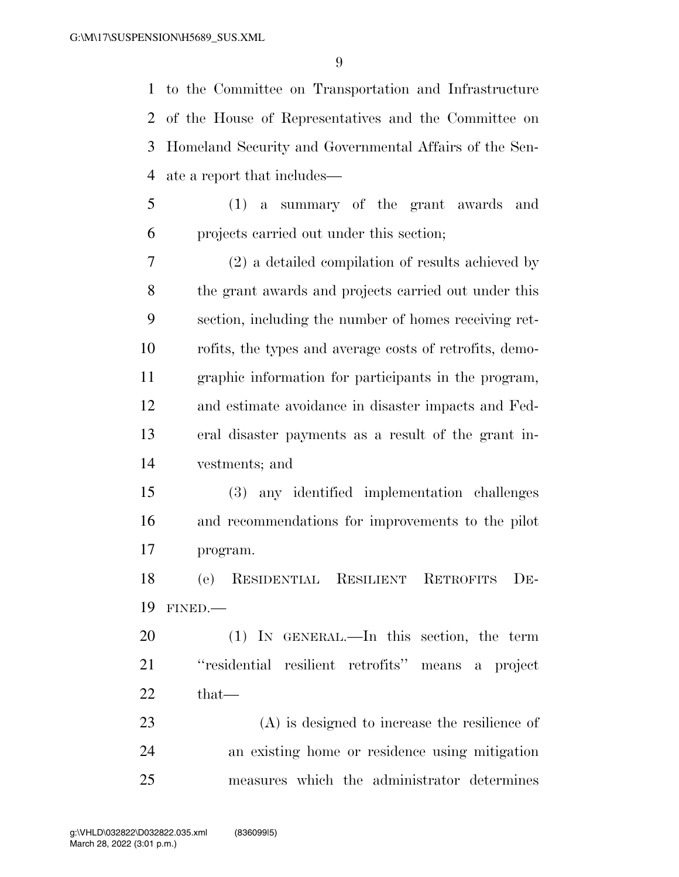to the Committee on Transportation and Infrastructure of the House of Representatives and the Committee on Homeland Security and Governmental Affairs of the Sen-ate a report that includes—

 (1) a summary of the grant awards and projects carried out under this section;

 (2) a detailed compilation of results achieved by the grant awards and projects carried out under this section, including the number of homes receiving ret- rofits, the types and average costs of retrofits, demo- graphic information for participants in the program, and estimate avoidance in disaster impacts and Fed- eral disaster payments as a result of the grant in-vestments; and

 (3) any identified implementation challenges and recommendations for improvements to the pilot program.

 (e) RESIDENTIAL RESILIENT RETROFITS DE-FINED.—

 (1) IN GENERAL.—In this section, the term ''residential resilient retrofits'' means a project that—

 (A) is designed to increase the resilience of an existing home or residence using mitigation measures which the administrator determines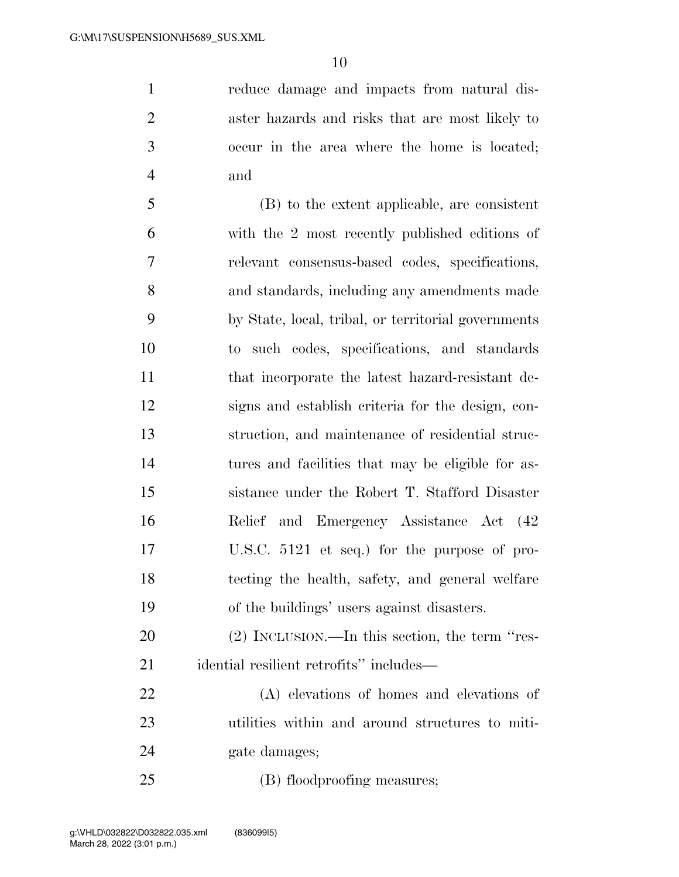reduce damage and impacts from natural dis- aster hazards and risks that are most likely to occur in the area where the home is located; and

 (B) to the extent applicable, are consistent with the 2 most recently published editions of relevant consensus-based codes, specifications, and standards, including any amendments made by State, local, tribal, or territorial governments to such codes, specifications, and standards that incorporate the latest hazard-resistant de- signs and establish criteria for the design, con- struction, and maintenance of residential struc- tures and facilities that may be eligible for as- sistance under the Robert T. Stafford Disaster Relief and Emergency Assistance Act (42 U.S.C. 5121 et seq.) for the purpose of pro- tecting the health, safety, and general welfare of the buildings' users against disasters.

 (2) INCLUSION.—In this section, the term ''res-idential resilient retrofits'' includes—

 (A) elevations of homes and elevations of utilities within and around structures to miti-24 gate damages;

(B) floodproofing measures;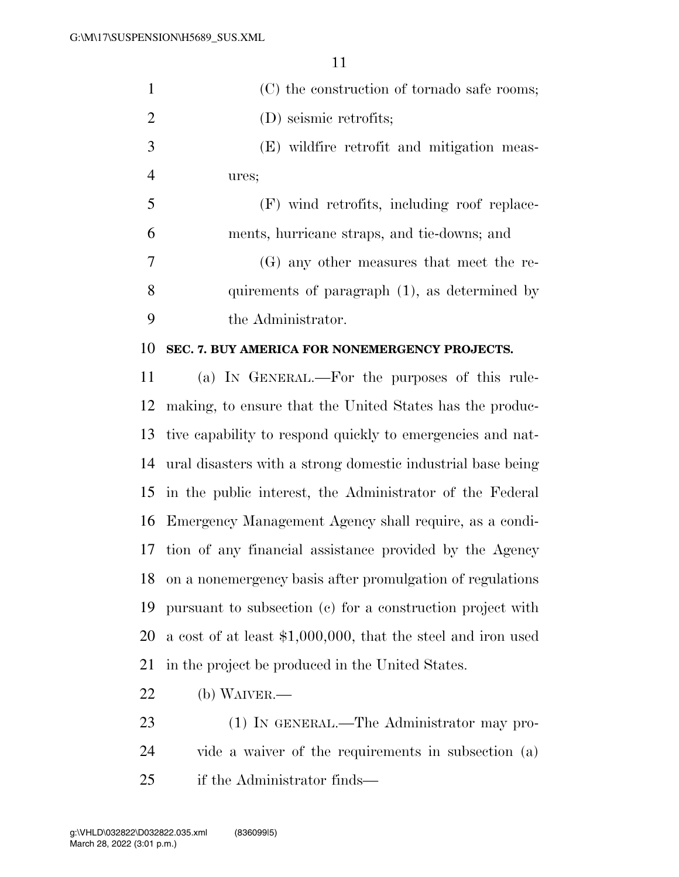| $\mathbf{1}$   | (C) the construction of tornado safe rooms;                    |
|----------------|----------------------------------------------------------------|
| $\overline{2}$ | (D) seismic retrofits;                                         |
| 3              | (E) wildfire retrofit and mitigation meas-                     |
| $\overline{4}$ | ures;                                                          |
| 5              | (F) wind retrofits, including roof replace-                    |
| 6              | ments, hurricane straps, and tie-downs; and                    |
| 7              | (G) any other measures that meet the re-                       |
| 8              | quirements of paragraph (1), as determined by                  |
| 9              | the Administrator.                                             |
| 10             | SEC. 7. BUY AMERICA FOR NONEMERGENCY PROJECTS.                 |
| 11             | (a) IN GENERAL.—For the purposes of this rule-                 |
| 12             | making, to ensure that the United States has the produc-       |
| 13             | tive capability to respond quickly to emergencies and nat-     |
| 14             | ural disasters with a strong domestic industrial base being    |
| 15             | in the public interest, the Administrator of the Federal       |
| 16             | Emergency Management Agency shall require, as a condi-         |
| 17             | tion of any financial assistance provided by the Agency        |
| 18             | on a nonemergency basis after promulgation of regulations      |
| 19             | pursuant to subsection (c) for a construction project with     |
| 20             | a cost of at least $$1,000,000$ , that the steel and iron used |
| 21             | in the project be produced in the United States.               |
| 22             | $(b)$ WAIVER.—                                                 |
| 23             | (1) IN GENERAL.—The Administrator may pro-                     |
|                |                                                                |

 vide a waiver of the requirements in subsection (a) if the Administrator finds—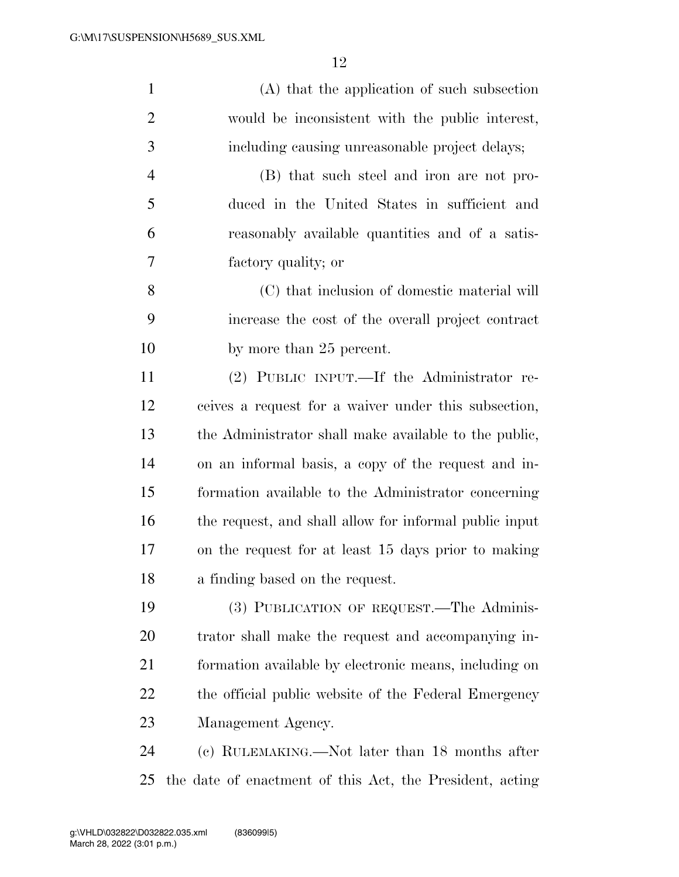| $\mathbf{1}$   | (A) that the application of such subsection            |
|----------------|--------------------------------------------------------|
| $\overline{2}$ | would be inconsistent with the public interest,        |
| 3              | including causing unreasonable project delays;         |
| $\overline{4}$ | (B) that such steel and iron are not pro-              |
| 5              | duced in the United States in sufficient and           |
| 6              | reasonably available quantities and of a satis-        |
| 7              | factory quality; or                                    |
| 8              | (C) that inclusion of domestic material will           |
| 9              | increase the cost of the overall project contract      |
| 10             | by more than 25 percent.                               |
| 11             | (2) PUBLIC INPUT.—If the Administrator re-             |
| 12             | ceives a request for a waiver under this subsection,   |
| 13             | the Administrator shall make available to the public,  |
| 14             | on an informal basis, a copy of the request and in-    |
| 15             | formation available to the Administrator concerning    |
| 16             | the request, and shall allow for informal public input |
| 17             | on the request for at least 15 days prior to making    |
| 18             | a finding based on the request.                        |
| 19             | (3) PUBLICATION OF REQUEST.—The Adminis-               |
| 20             | trator shall make the request and accompanying in-     |
| 21             | formation available by electronic means, including on  |
| 22             | the official public website of the Federal Emergency   |
| 23             | Management Agency.                                     |
|                |                                                        |

 (c) RULEMAKING.—Not later than 18 months after the date of enactment of this Act, the President, acting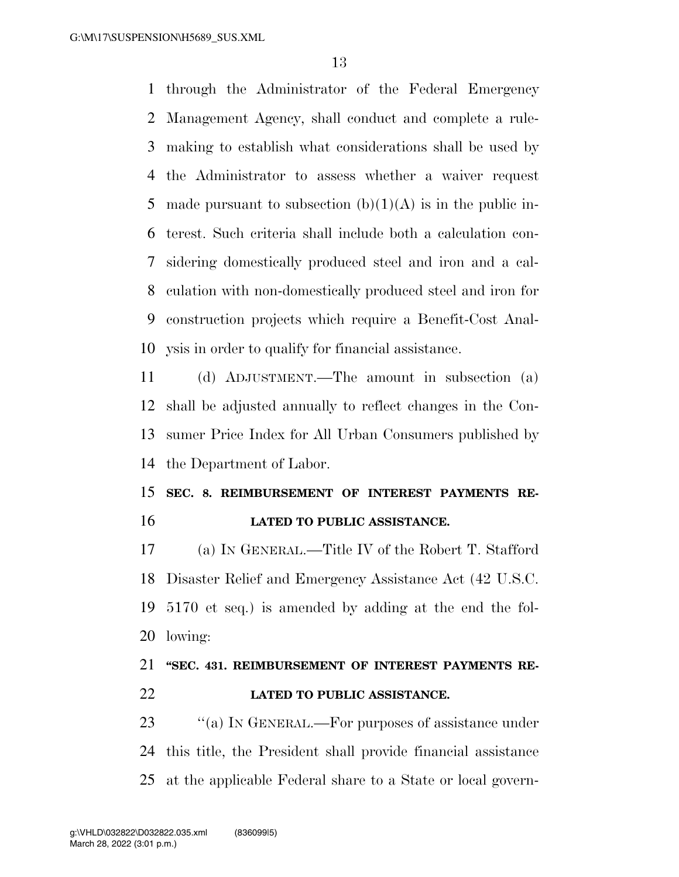through the Administrator of the Federal Emergency Management Agency, shall conduct and complete a rule- making to establish what considerations shall be used by the Administrator to assess whether a waiver request 5 made pursuant to subsection  $(b)(1)(A)$  is in the public in- terest. Such criteria shall include both a calculation con- sidering domestically produced steel and iron and a cal- culation with non-domestically produced steel and iron for construction projects which require a Benefit-Cost Anal-ysis in order to qualify for financial assistance.

 (d) ADJUSTMENT.—The amount in subsection (a) shall be adjusted annually to reflect changes in the Con- sumer Price Index for All Urban Consumers published by the Department of Labor.

### **SEC. 8. REIMBURSEMENT OF INTEREST PAYMENTS RE-LATED TO PUBLIC ASSISTANCE.**

 (a) IN GENERAL.—Title IV of the Robert T. Stafford Disaster Relief and Emergency Assistance Act (42 U.S.C. 5170 et seq.) is amended by adding at the end the fol-lowing:

# **''SEC. 431. REIMBURSEMENT OF INTEREST PAYMENTS RE-**

**LATED TO PUBLIC ASSISTANCE.** 

23 "(a) IN GENERAL.—For purposes of assistance under this title, the President shall provide financial assistance at the applicable Federal share to a State or local govern-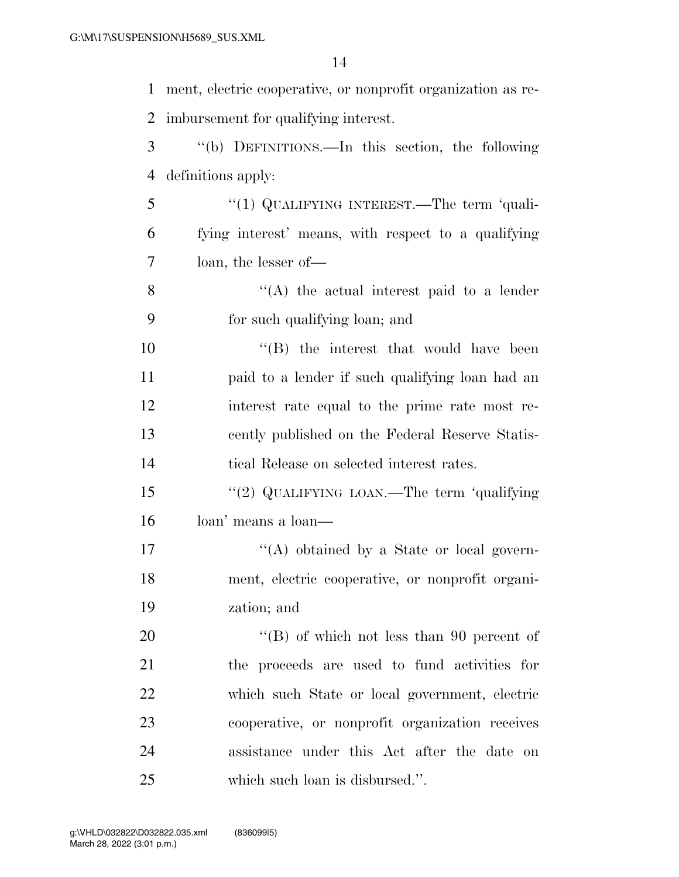ment, electric cooperative, or nonprofit organization as re- imbursement for qualifying interest. ''(b) DEFINITIONS.—In this section, the following definitions apply: ''(1) QUALIFYING INTEREST.—The term 'quali- fying interest' means, with respect to a qualifying loan, the lesser of—  $\mathcal{S}$  ''(A) the actual interest paid to a lender for such qualifying loan; and  $\langle$  ''(B) the interest that would have been paid to a lender if such qualifying loan had an interest rate equal to the prime rate most re- cently published on the Federal Reserve Statis- tical Release on selected interest rates. ''(2) QUALIFYING LOAN.—The term 'qualifying loan' means a loan—  $\langle (A) \rangle$  obtained by a State or local govern- ment, electric cooperative, or nonprofit organi- zation; and 20 "'(B) of which not less than 90 percent of the proceeds are used to fund activities for

 which such State or local government, electric cooperative, or nonprofit organization receives assistance under this Act after the date on which such loan is disbursed.''.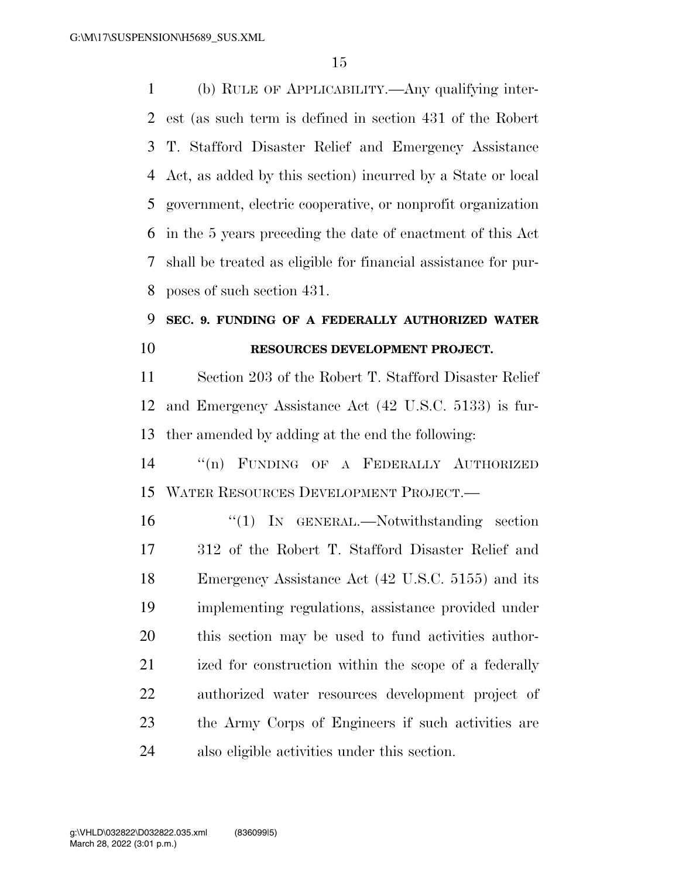(b) RULE OF APPLICABILITY.—Any qualifying inter- est (as such term is defined in section 431 of the Robert T. Stafford Disaster Relief and Emergency Assistance Act, as added by this section) incurred by a State or local government, electric cooperative, or nonprofit organization in the 5 years preceding the date of enactment of this Act shall be treated as eligible for financial assistance for pur-poses of such section 431.

## **SEC. 9. FUNDING OF A FEDERALLY AUTHORIZED WATER RESOURCES DEVELOPMENT PROJECT.**

 Section 203 of the Robert T. Stafford Disaster Relief and Emergency Assistance Act (42 U.S.C. 5133) is fur-ther amended by adding at the end the following:

 ''(n) FUNDING OF A FEDERALLY AUTHORIZED WATER RESOURCES DEVELOPMENT PROJECT.—

 ''(1) IN GENERAL.—Notwithstanding section 312 of the Robert T. Stafford Disaster Relief and Emergency Assistance Act (42 U.S.C. 5155) and its implementing regulations, assistance provided under this section may be used to fund activities author-21 ized for construction within the scope of a federally authorized water resources development project of the Army Corps of Engineers if such activities are also eligible activities under this section.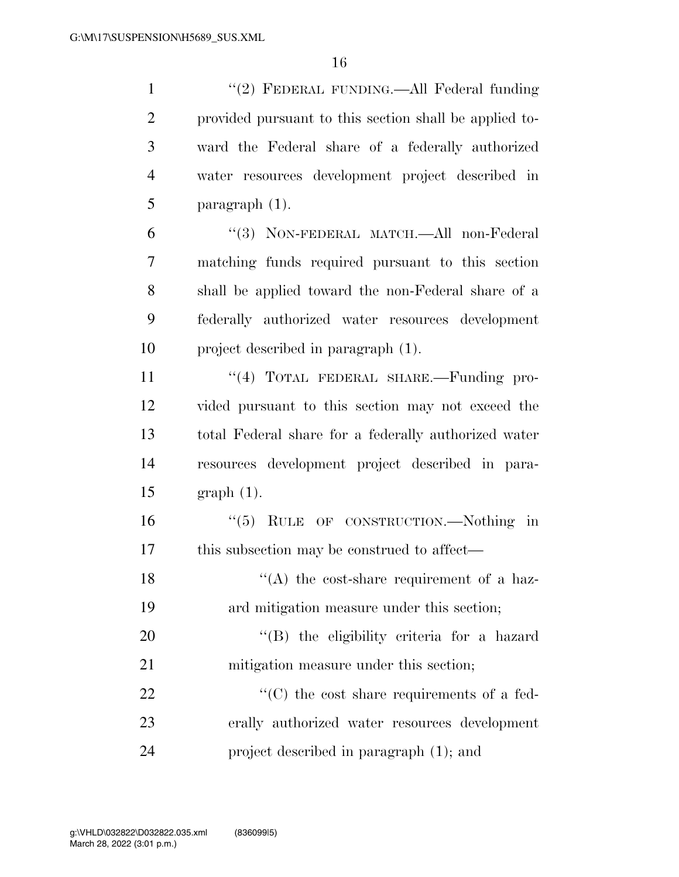1 ''(2) FEDERAL FUNDING.—All Federal funding provided pursuant to this section shall be applied to- ward the Federal share of a federally authorized water resources development project described in paragraph (1).

 ''(3) NON-FEDERAL MATCH.—All non-Federal matching funds required pursuant to this section shall be applied toward the non-Federal share of a federally authorized water resources development project described in paragraph (1).

11 "(4) TOTAL FEDERAL SHARE.—Funding pro- vided pursuant to this section may not exceed the total Federal share for a federally authorized water resources development project described in para-graph (1).

 ''(5) RULE OF CONSTRUCTION.—Nothing in 17 this subsection may be construed to affect—

18  $\langle (A)$  the cost-share requirement of a haz-ard mitigation measure under this section;

20  $\langle$  (B) the eligibility criteria for a hazard mitigation measure under this section;

22  $\cdot$  (C) the cost share requirements of a fed- erally authorized water resources development project described in paragraph (1); and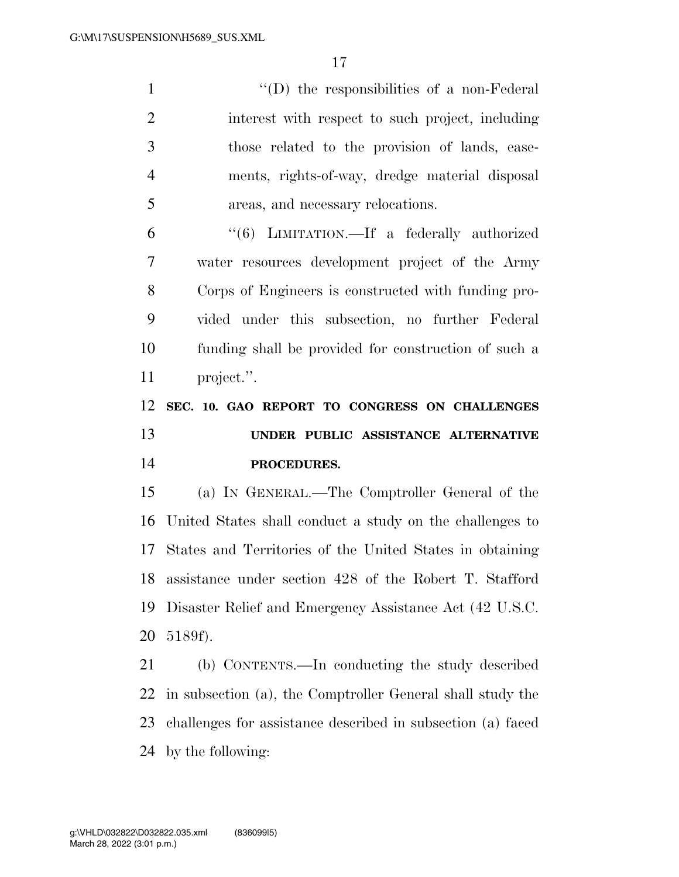''(D) the responsibilities of a non-Federal interest with respect to such project, including those related to the provision of lands, ease- ments, rights-of-way, dredge material disposal areas, and necessary relocations.

 ''(6) LIMITATION.—If a federally authorized water resources development project of the Army Corps of Engineers is constructed with funding pro- vided under this subsection, no further Federal funding shall be provided for construction of such a project.''.

## **SEC. 10. GAO REPORT TO CONGRESS ON CHALLENGES UNDER PUBLIC ASSISTANCE ALTERNATIVE PROCEDURES.**

 (a) IN GENERAL.—The Comptroller General of the United States shall conduct a study on the challenges to States and Territories of the United States in obtaining assistance under section 428 of the Robert T. Stafford Disaster Relief and Emergency Assistance Act (42 U.S.C. 5189f).

 (b) CONTENTS.—In conducting the study described in subsection (a), the Comptroller General shall study the challenges for assistance described in subsection (a) faced by the following: